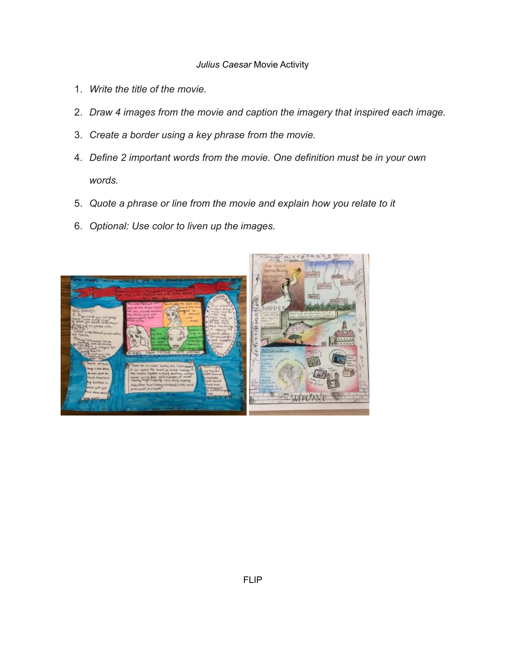## *Julius Caesar* Movie Activity

- 1. *Write the title of the movie.*
- 2. *Draw 4 images from the movie and caption the imagery that inspired each image.*
- 3. *Create a border using a key phrase from the movie.*
- 4. *Define 2 important words from the movie. One definition must be in your own words.*
- 5. *Quote a phrase or line from the movie and explain how you relate to it*
- 6. *Optional: Use color to liven up the images.*